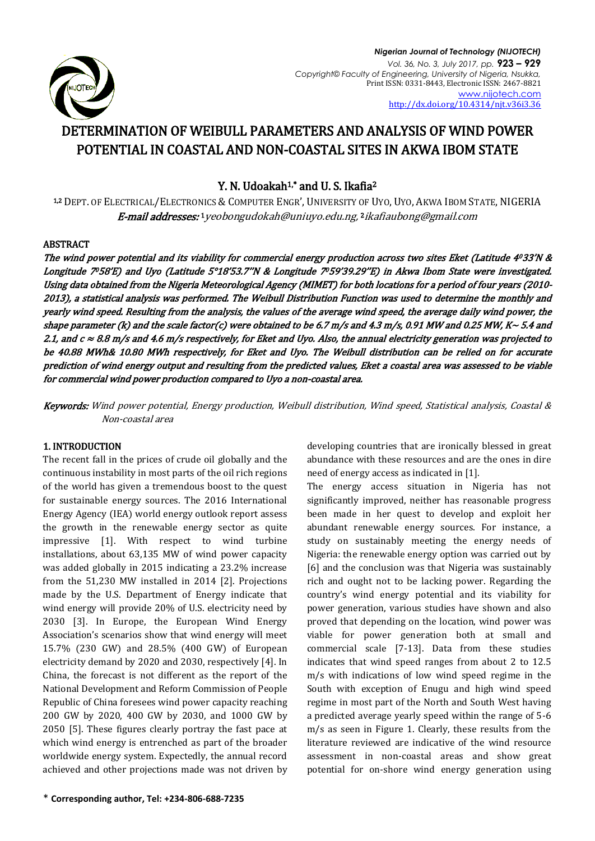

# DETERMINATION OF WEIBULL PARAMETERS AND ANALYSIS OF WIND POWER POTENTIAL IN COASTAL AND NON-COASTAL SITES IN AKWA IBOM STATE

# Y. N. Udoakah<sup>1,\*</sup> and U. S. Ikafia<sup>2</sup>

1,2 DEPT. OF ELECTRICAL/ELECTRONICS & COMPUTER ENGR', UNIVERSITY OF UYO, UYO, AKWA IBOM STATE, NIGERIA **E-mail addresses:** 1 [yeobongudokah@uniuyo.edu.ng,](mailto:1yeobongudokah@uniuyo.edu.ng) <sup>2</sup> [ikafiaubong@gmail.com](mailto:ikafiaubong@gmail.com)

## ABSTRACT

The wind power potential and its viability for commercial energy production across two sites Eket (Latitude 4033'N & Longitude 7058'E) and Uyo (Latitude 5°18'53.7''N & Longitude 7059'39.29''E) in Akwa Ibom State were investigated. Using data obtained from the Nigeria Meteorological Agency (MIMET) for both locations for a period of four years (2010- 2013), a statistical analysis was performed. The Weibull Distribution Function was used to determine the monthly and yearly wind speed. Resulting from the analysis, the values of the average wind speed, the average daily wind power, the shape parameter (k) and the scale factor(c) were obtained to be 6.7 m/s and 4.3 m/s, 0.91 MW and 0.25 MW, K $\sim$  5.4 and 2.1, and  $c \approx 8.8$  m/s and 4.6 m/s respectively, for Eket and Uyo. Also, the annual electricity generation was projected to be 40.88 MWh& 10.80 MWh respectively, for Eket and Uyo. The Weibull distribution can be relied on for accurate prediction of wind energy output and resulting from the predicted values, Eket a coastal area was assessed to be viable for commercial wind power production compared to Uyo a non-coastal area.

Keywords: Wind power potential, Energy production, Weibull distribution, Wind speed, Statistical analysis, Coastal & Non-coastal area

# 1. INTRODUCTION

The recent fall in the prices of crude oil globally and the continuous instability in most parts of the oil rich regions of the world has given a tremendous boost to the quest for sustainable energy sources. The 2016 International Energy Agency (IEA) world energy outlook report assess the growth in the renewable energy sector as quite impressive [1]. With respect to wind turbine installations, about 63,135 MW of wind power capacity was added globally in 2015 indicating a 23.2% increase from the 51,230 MW installed in 2014 [2]. Projections made by the U.S. Department of Energy indicate that wind energy will provide 20% of U.S. electricity need by 2030 [3]. In Europe, the European Wind Energy Association's scenarios show that wind energy will meet 15.7% (230 GW) and 28.5% (400 GW) of European electricity demand by 2020 and 2030, respectively [4]. In China, the forecast is not different as the report of the National Development and Reform Commission of People Republic of China foresees wind power capacity reaching 200 GW by 2020, 400 GW by 2030, and 1000 GW by 2050 [5]. These figures clearly portray the fast pace at which wind energy is entrenched as part of the broader worldwide energy system. Expectedly, the annual record achieved and other projections made was not driven by developing countries that are ironically blessed in great abundance with these resources and are the ones in dire need of energy access as indicated in [1].

The energy access situation in Nigeria has not significantly improved, neither has reasonable progress been made in her quest to develop and exploit her abundant renewable energy sources. For instance, a study on sustainably meeting the energy needs of Nigeria: the renewable energy option was carried out by [6] and the conclusion was that Nigeria was sustainably rich and ought not to be lacking power. Regarding the country's wind energy potential and its viability for power generation, various studies have shown and also proved that depending on the location, wind power was viable for power generation both at small and commercial scale [7-13]. Data from these studies indicates that wind speed ranges from about 2 to 12.5 m/s with indications of low wind speed regime in the South with exception of Enugu and high wind speed regime in most part of the North and South West having a predicted average yearly speed within the range of 5-6 m/s as seen in Figure 1. Clearly, these results from the literature reviewed are indicative of the wind resource assessment in non-coastal areas and show great potential for on-shore wind energy generation using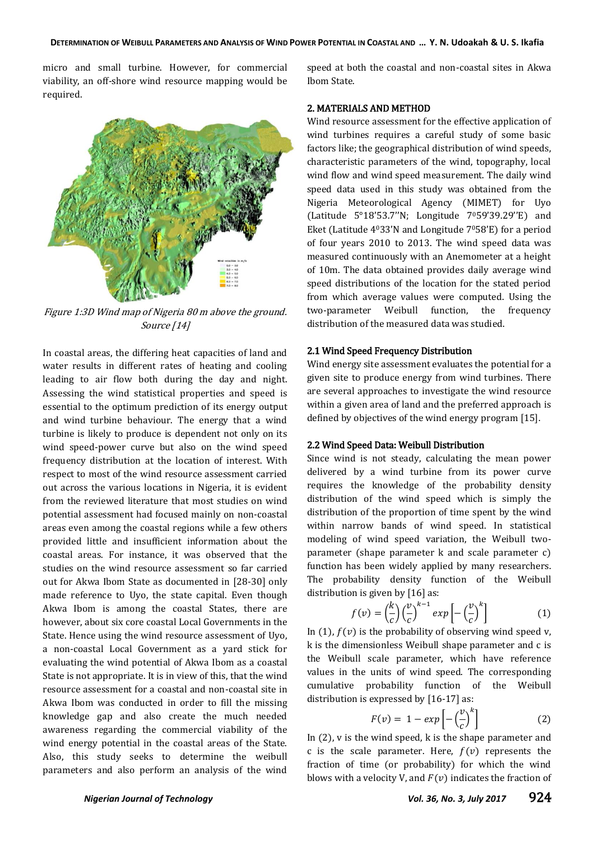micro and small turbine. However, for commercial viability, an off-shore wind resource mapping would be required.



Figure 1:3D Wind map of Nigeria 80 m above the ground. Source [14]

In coastal areas, the differing heat capacities of land and water results in different rates of heating and cooling leading to air flow both during the day and night. Assessing the wind statistical properties and speed is essential to the optimum prediction of its energy output and wind turbine behaviour. The energy that a wind turbine is likely to produce is dependent not only on its wind speed-power curve but also on the wind speed frequency distribution at the location of interest. With respect to most of the wind resource assessment carried out across the various locations in Nigeria, it is evident from the reviewed literature that most studies on wind potential assessment had focused mainly on non-coastal areas even among the coastal regions while a few others provided little and insufficient information about the coastal areas. For instance, it was observed that the studies on the wind resource assessment so far carried out for Akwa Ibom State as documented in [28-30] only made reference to Uyo, the state capital. Even though Akwa Ibom is among the coastal States, there are however, about six core coastal Local Governments in the State. Hence using the wind resource assessment of Uyo, a non-coastal Local Government as a yard stick for evaluating the wind potential of Akwa Ibom as a coastal State is not appropriate. It is in view of this, that the wind resource assessment for a coastal and non-coastal site in Akwa Ibom was conducted in order to fill the missing knowledge gap and also create the much needed awareness regarding the commercial viability of the wind energy potential in the coastal areas of the State. Also, this study seeks to determine the weibull parameters and also perform an analysis of the wind

speed at both the coastal and non-coastal sites in Akwa Ibom State.

#### 2. MATERIALS AND METHOD

Wind resource assessment for the effective application of wind turbines requires a careful study of some basic factors like; the geographical distribution of wind speeds, characteristic parameters of the wind, topography, local wind flow and wind speed measurement. The daily wind speed data used in this study was obtained from the Nigeria Meteorological Agency (MIMET) for Uyo (Latitude 5°18'53.7''N; Longitude 7059'39.29''E) and Eket (Latitude 4033'N and Longitude 7058'E) for a period of four years 2010 to 2013. The wind speed data was measured continuously with an Anemometer at a height of 10m. The data obtained provides daily average wind speed distributions of the location for the stated period from which average values were computed. Using the two-parameter Weibull function, the frequency distribution of the measured data was studied.

#### 2.1 Wind Speed Frequency Distribution

Wind energy site assessment evaluates the potential for a given site to produce energy from wind turbines. There are several approaches to investigate the wind resource within a given area of land and the preferred approach is defined by objectives of the wind energy program [15].

#### 2.2 Wind Speed Data: Weibull Distribution

Since wind is not steady, calculating the mean power delivered by a wind turbine from its power curve requires the knowledge of the probability density distribution of the wind speed which is simply the distribution of the proportion of time spent by the wind within narrow bands of wind speed. In statistical modeling of wind speed variation, the Weibull twoparameter (shape parameter k and scale parameter c) function has been widely applied by many researchers. The probability density function of the Weibull distribution is given by [16] as:

$$
f(v) = \left(\frac{k}{c}\right) \left(\frac{v}{c}\right)^{k-1} \exp\left[-\left(\frac{v}{c}\right)^k\right] \tag{1}
$$

In (1),  $f(v)$  is the probability of observing wind speed v, k is the dimensionless Weibull shape parameter and c is the Weibull scale parameter, which have reference values in the units of wind speed. The corresponding cumulative probability function of the Weibull distribution is expressed by [16-17] as:

$$
F(v) = 1 - exp\left[-\left(\frac{v}{c}\right)^k\right] \tag{2}
$$

In (2), v is the wind speed, k is the shape parameter and c is the scale parameter. Here,  $f(v)$  represents the fraction of time (or probability) for which the wind blows with a velocity V, and  $F(v)$  indicates the fraction of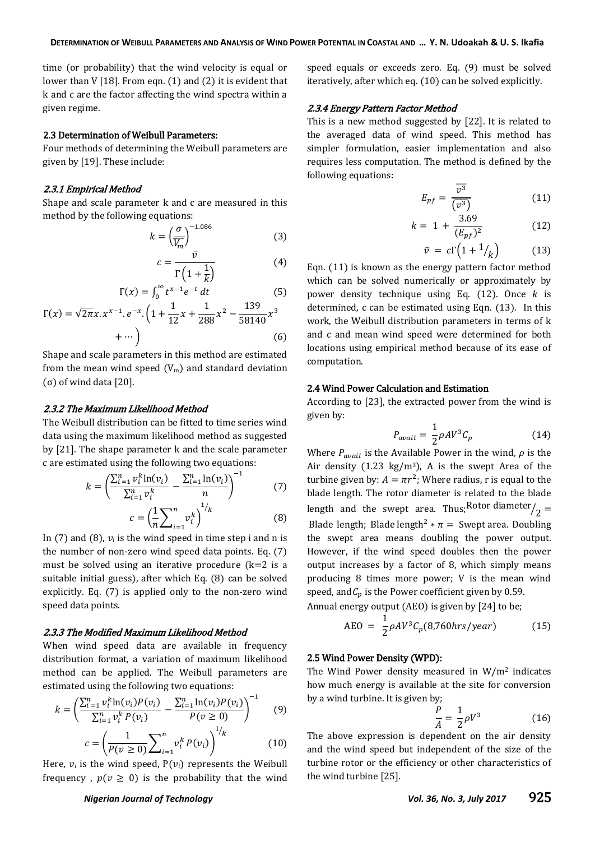time (or probability) that the wind velocity is equal or lower than V [18]. From eqn. (1) and (2) it is evident that k and c are the factor affecting the wind spectra within a given regime.

#### 2.3 Determination of Weibull Parameters:

Four methods of determining the Weibull parameters are given by [19]. These include:

#### 2.3.1 Empirical Method

Shape and scale parameter k and c are measured in this method by the following equations:

$$
k = \left(\frac{\sigma}{\overline{V_m}}\right)^{-1.086} \tag{3}
$$

$$
c = \frac{1}{\Gamma\left(1 + \frac{1}{k}\right)}\tag{4}
$$

$$
\Gamma(x) = \int_0^\infty t^{x-1} e^{-t} dt
$$
 (5)

$$
\Gamma(x) = \sqrt{2\pi}x \cdot x^{x-1} \cdot e^{-x} \cdot \left(1 + \frac{1}{12}x + \frac{1}{288}x^2 - \frac{13}{58140}x^3 + \cdots\right)
$$
\n
$$
(6)
$$

Shape and scale parameters in this method are estimated from the mean wind speed  $(V_m)$  and standard deviation (σ) of wind data  $[20]$ .

#### 2.3.2 The Maximum Likelihood Method

The Weibull distribution can be fitted to time series wind data using the maximum likelihood method as suggested by [21]. The shape parameter k and the scale parameter c are estimated using the following two equations:

$$
k = \left(\frac{\sum_{i=1}^{n} v_i^k \ln(v_i)}{\sum_{i=1}^{n} v_i^k} - \frac{\sum_{i=1}^{n} \ln(v_i)}{n}\right)^{-1}
$$
(7)

$$
c = \left(\frac{1}{n}\sum_{i=1}^{n} v_i^k\right) \tag{8}
$$

In (7) and (8),  $v_i$  is the wind speed in time step i and n is the number of non-zero wind speed data points. Eq. (7) must be solved using an iterative procedure  $(k=2$  is a suitable initial guess), after which Eq. (8) can be solved explicitly. Eq. (7) is applied only to the non-zero wind speed data points.

#### 2.3.3 The Modified Maximum Likelihood Method

When wind speed data are available in frequency distribution format, a variation of maximum likelihood method can be applied. The Weibull parameters are estimated using the following two equations:

$$
k = \left(\frac{\sum_{i=1}^{n} v_i^k \ln(v_i) P(v_i)}{\sum_{i=1}^{n} v_i^k P(v_i)} - \frac{\sum_{i=1}^{n} \ln(v_i) P(v_i)}{P(v \ge 0)}\right)^{-1}
$$
(9)

$$
c = \left(\frac{1}{P(v \ge 0)} \sum_{i=1}^{n} v_i^k P(v_i)\right)^{1/k}
$$
 (10)

Here,  $v_i$  is the wind speed,  $P(v_i)$  represents the Weibull frequency,  $p(v \ge 0)$  is the probability that the wind

speed equals or exceeds zero. Eq. (9) must be solved iteratively, after which eq. (10) can be solved explicitly.

#### 2.3.4 Energy Pattern Factor Method

This is a new method suggested by [22]. It is related to the averaged data of wind speed. This method has simpler formulation, easier implementation and also requires less computation. The method is defined by the following equations:

$$
E_{pf} = \frac{\overline{v^3}}{(\overline{v^3})}
$$
 (11)

$$
k = 1 + \frac{3.69}{(E_{pf})^2} \tag{12}
$$

$$
\bar{v} = c\Gamma\left(1 + \frac{1}{k}\right) \tag{13}
$$

Eqn. (11) is known as the energy pattern factor method which can be solved numerically or approximately by power density technique using Eq.  $(12)$ . Once k is determined, c can be estimated using Eqn. (13). In this work, the Weibull distribution parameters in terms of k and c and mean wind speed were determined for both locations using empirical method because of its ease of computation.

### 2.4 Wind Power Calculation and Estimation

According to [23], the extracted power from the wind is given by:

$$
P_{avail} = \frac{1}{2} \rho A V^3 C_p \tag{14}
$$

Where  $P_{avail}$  is the Available Power in the wind,  $\rho$  is the Air density (1.23 kg/m<sup>3</sup>), A is the swept Area of the turbine given by:  $A = \pi r^2$ ; Where radius, r is equal to the blade length. The rotor diameter is related to the blade length and the swept area. Thus, Rotor diameter $\chi_2 =$ Blade length; Blade length<sup>2</sup>  $*\pi$  = Swept area. Doubling the swept area means doubling the power output. However, if the wind speed doubles then the power output increases by a factor of 8, which simply means producing 8 times more power; V is the mean wind speed, and  $C_p$  is the Power coefficient given by 0.59.

Annual energy output (AEO) is given by [24] to be;

$$
AEO = \frac{1}{2} \rho A V^3 C_p (8,760 hrs/year) \tag{15}
$$

#### 2.5 Wind Power Density (WPD):

The Wind Power density measured in  $W/m^2$  indicates how much energy is available at the site for conversion by a wind turbine. It is given by;

$$
\frac{P}{A} = \frac{1}{2}\rho V^3\tag{16}
$$

The above expression is dependent on the air density and the wind speed but independent of the size of the turbine rotor or the efficiency or other characteristics of the wind turbine [25].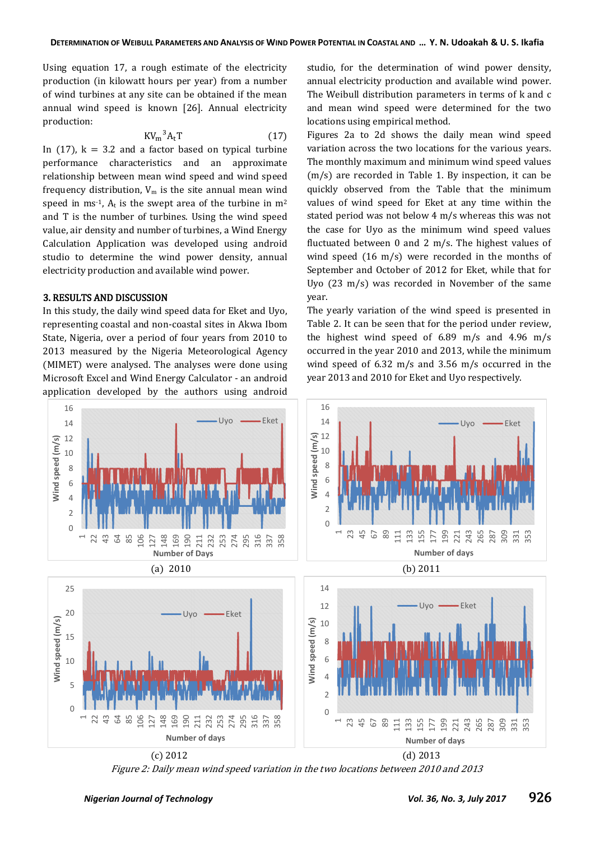Using equation 17, a rough estimate of the electricity production (in kilowatt hours per year) from a number of wind turbines at any site can be obtained if the mean annual wind speed is known [26]. Annual electricity production:

$$
KV_m^3A_tT \t\t(17)
$$

In (17),  $k = 3.2$  and a factor based on typical turbine performance characteristics and an approximate relationship between mean wind speed and wind speed frequency distribution,  $V_m$  is the site annual mean wind speed in ms<sup>-1</sup>. A<sub>t</sub> is the swept area of the turbine in  $m<sup>2</sup>$ and T is the number of turbines. Using the wind speed value, air density and number of turbines, a Wind Energy Calculation Application was developed using android studio to determine the wind power density, annual electricity production and available wind power.

#### 3. RESULTS AND DISCUSSION

In this study, the daily wind speed data for Eket and Uyo, representing coastal and non-coastal sites in Akwa Ibom State, Nigeria, over a period of four years from 2010 to 2013 measured by the Nigeria Meteorological Agency (MIMET) were analysed. The analyses were done using Microsoft Excel and Wind Energy Calculator - an android application developed by the authors using android

studio, for the determination of wind power density, annual electricity production and available wind power. The Weibull distribution parameters in terms of k and c and mean wind speed were determined for the two locations using empirical method.

Figures 2a to 2d shows the daily mean wind speed variation across the two locations for the various years. The monthly maximum and minimum wind speed values (m/s) are recorded in Table 1. By inspection, it can be quickly observed from the Table that the minimum values of wind speed for Eket at any time within the stated period was not below 4 m/s whereas this was not the case for Uyo as the minimum wind speed values fluctuated between 0 and 2 m/s. The highest values of wind speed (16 m/s) were recorded in the months of September and October of 2012 for Eket, while that for Uyo (23 m/s) was recorded in November of the same year.

The yearly variation of the wind speed is presented in Table 2. It can be seen that for the period under review, the highest wind speed of 6.89 m/s and 4.96 m/s occurred in the year 2010 and 2013, while the minimum wind speed of 6.32 m/s and 3.56 m/s occurred in the year 2013 and 2010 for Eket and Uyo respectively.



Figure 2: Daily mean wind speed variation in the two locations between 2010 and 2013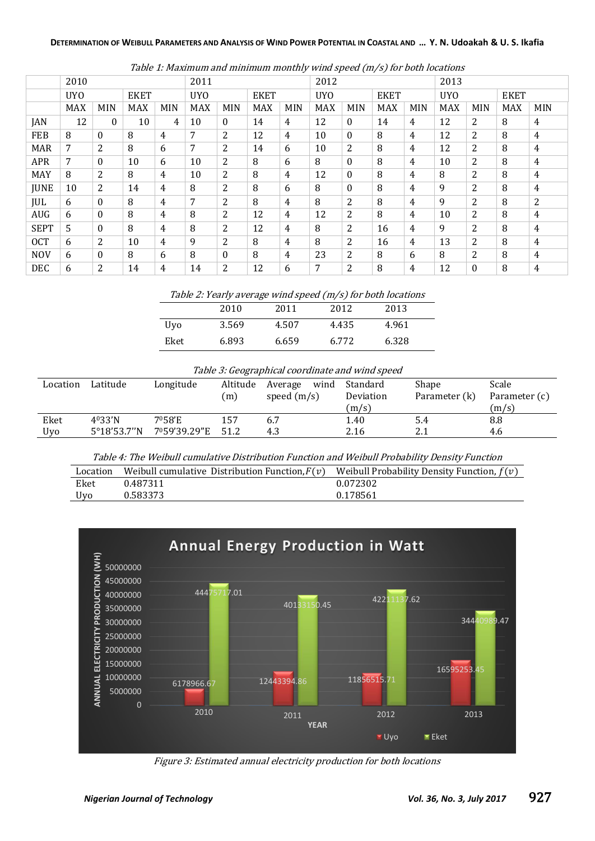#### DETERMINATION OF WEIBULL PARAMETERS AND ANALYSIS OF WIND POWER POTENTIAL IN COASTAL AND ... Y. N. Udoakah & U. S. Ikafia

|             | 2010            |              |             |            | 2011            |                |             | 2012           |            |                | 2013        |            |                 |          |             |                |
|-------------|-----------------|--------------|-------------|------------|-----------------|----------------|-------------|----------------|------------|----------------|-------------|------------|-----------------|----------|-------------|----------------|
|             | UY <sub>0</sub> |              | <b>EKET</b> |            | UY <sub>0</sub> |                | <b>EKET</b> |                | <b>UYO</b> |                | <b>EKET</b> |            | UY <sub>0</sub> |          | <b>EKET</b> |                |
|             | <b>MAX</b>      | <b>MIN</b>   | <b>MAX</b>  | <b>MIN</b> | <b>MAX</b>      | <b>MIN</b>     | <b>MAX</b>  | <b>MIN</b>     | <b>MAX</b> | <b>MIN</b>     | <b>MAX</b>  | <b>MIN</b> | <b>MAX</b>      | MIN      | <b>MAX</b>  | <b>MIN</b>     |
| JAN         | 12              | $\mathbf{0}$ | 10          | 4          | 10              | $\theta$       | 14          | 4              | 12         | $\mathbf{0}$   | 14          | 4          | 12              | 2        | 8           | 4              |
| <b>FEB</b>  | 8               | $\mathbf{0}$ | 8           | 4          | 7               | 2              | 12          | 4              | 10         | $\theta$       | 8           | 4          | 12              | 2        | 8           | 4              |
| <b>MAR</b>  | 7               | 2            | 8           | 6          | 7               | $\overline{2}$ | 14          | 6              | 10         | 2              | 8           | 4          | 12              | 2        | 8           | 4              |
| <b>APR</b>  | $\overline{7}$  | $\mathbf{0}$ | 10          | 6          | 10              | 2              | 8           | 6              | 8          | $\theta$       | 8           | 4          | 10              | 2        | 8           | 4              |
| <b>MAY</b>  | 8               | 2            | 8           | 4          | 10              | 2              | 8           | 4              | 12         | $\bf{0}$       | 8           | 4          | 8               | 2        | 8           | $\overline{4}$ |
| <b>JUNE</b> | 10              | 2            | 14          | 4          | 8               | 2              | 8           | 6              | 8          | $\theta$       | 8           | 4          | 9               | 2        | 8           | 4              |
| JUL         | 6               | $\mathbf{0}$ | 8           | 4          | 7               | 2              | 8           | 4              | 8          | 2              | 8           | 4          | 9               | 2        | 8           | 2              |
| <b>AUG</b>  | 6               | $\mathbf{0}$ | 8           | 4          | 8               | 2              | 12          | 4              | 12         | 2              | 8           | 4          | 10              | 2        | 8           | 4              |
| <b>SEPT</b> | 5               | $\mathbf{0}$ | 8           | 4          | 8               | 2              | 12          | 4              | 8          | 2              | 16          | 4          | 9               | 2        | 8           | 4              |
| <b>OCT</b>  | 6               | 2            | 10          | 4          | 9               | 2              | 8           | 4              | 8          | 2              | 16          | 4          | 13              | 2        | 8           | 4              |
| <b>NOV</b>  | 6               | $\mathbf{0}$ | 8           | 6          | 8               | $\theta$       | 8           | $\overline{4}$ | 23         | 2              | 8           | 6          | 8               | 2        | 8           | 4              |
| <b>DEC</b>  | 6               | 2            | 14          | 4          | 14              | $\overline{2}$ | 12          | 6              | 7          | $\overline{2}$ | 8           | 4          | 12              | $\theta$ | 8           | 4              |

Table 1: Maximum and minimum monthly wind speed (m/s) for both locations

Table 2: Yearly average wind speed (m/s) for both locations

|            | 2010  | 2011  | 2012  | 2013  |
|------------|-------|-------|-------|-------|
| <b>Uvo</b> | 3.569 | 4.507 | 4.435 | 4.961 |
| Eket       | 6.893 | 6.659 | 6.772 | 6.328 |

#### Table 3: Geographical coordinate and wind speed

| Location | Latitude              | Longitude    | Altitude | wind<br>Average | Standard                   | Shape | Scale         |  |
|----------|-----------------------|--------------|----------|-----------------|----------------------------|-------|---------------|--|
|          |                       |              | (m)      | speed $(m/s)$   | Parameter (k)<br>Deviation |       | Parameter (c) |  |
|          |                       |              |          |                 | (m/s)                      |       | (m/s)         |  |
| Eket     | $4^{0}33'$ N          | 7058'E       | 157      | 6.7             | 1.40                       | 5.4   | 8.8           |  |
| Uvo      | $5^{\circ}18'53.7''N$ | 7º59'39.29"E | 51.2     | 4.3             | 2.16                       | 2.1   | 4.6           |  |

Table 4: The Weibull cumulative Distribution Function and Weibull Probability Density Function

| Location | Weibull cumulative Distribution Function, $F(v)$ Weibull Probability Density Function, $f(v)$ |          |
|----------|-----------------------------------------------------------------------------------------------|----------|
| Eket     | 0.487311                                                                                      | 0.072302 |
| Uvo      | 0.583373                                                                                      | 0.178561 |



Figure 3: Estimated annual electricity production for both locations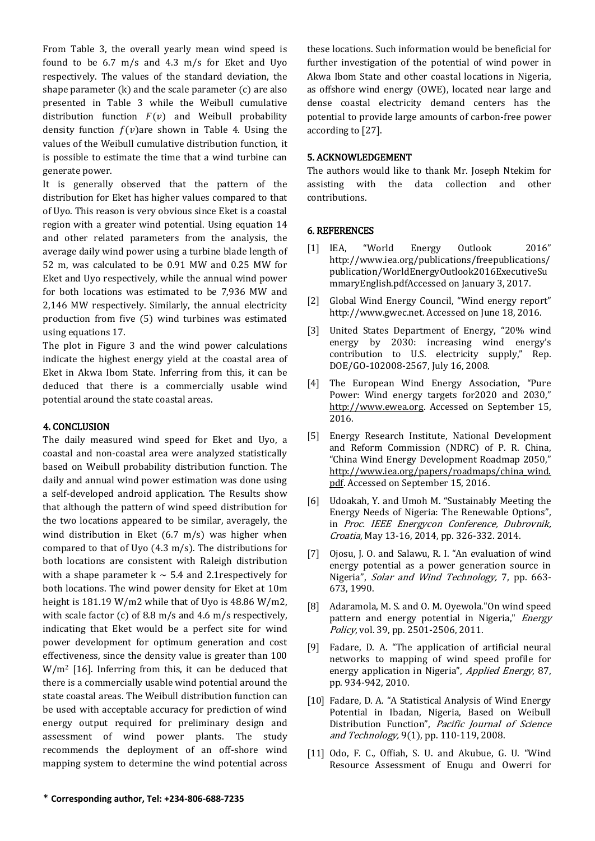From Table 3, the overall yearly mean wind speed is found to be 6.7 m/s and 4.3 m/s for Eket and Uyo respectively. The values of the standard deviation, the shape parameter (k) and the scale parameter (c) are also presented in Table 3 while the Weibull cumulative distribution function  $F(v)$  and Weibull probability density function  $f(v)$ are shown in Table 4. Using the values of the Weibull cumulative distribution function, it is possible to estimate the time that a wind turbine can generate power.

It is generally observed that the pattern of the distribution for Eket has higher values compared to that of Uyo. This reason is very obvious since Eket is a coastal region with a greater wind potential. Using equation 14 and other related parameters from the analysis, the average daily wind power using a turbine blade length of 52 m, was calculated to be 0.91 MW and 0.25 MW for Eket and Uyo respectively, while the annual wind power for both locations was estimated to be 7,936 MW and 2,146 MW respectively. Similarly, the annual electricity production from five (5) wind turbines was estimated using equations 17.

The plot in Figure 3 and the wind power calculations indicate the highest energy yield at the coastal area of Eket in Akwa Ibom State. Inferring from this, it can be deduced that there is a commercially usable wind potential around the state coastal areas.

## 4. CONCLUSION

The daily measured wind speed for Eket and Uyo, a coastal and non-coastal area were analyzed statistically based on Weibull probability distribution function. The daily and annual wind power estimation was done using a self-developed android application. The Results show that although the pattern of wind speed distribution for the two locations appeared to be similar, averagely, the wind distribution in Eket  $(6.7 \text{ m/s})$  was higher when compared to that of Uyo (4.3 m/s). The distributions for both locations are consistent with Raleigh distribution with a shape parameter  $k \sim 5.4$  and 2.1 respectively for both locations. The wind power density for Eket at 10m height is 181.19 W/m2 while that of Uyo is 48.86 W/m2, with scale factor (c) of 8.8 m/s and 4.6 m/s respectively, indicating that Eket would be a perfect site for wind power development for optimum generation and cost effectiveness, since the density value is greater than 100  $W/m^2$  [16]. Inferring from this, it can be deduced that there is a commercially usable wind potential around the state coastal areas. The Weibull distribution function can be used with acceptable accuracy for prediction of wind energy output required for preliminary design and assessment of wind power plants. The study recommends the deployment of an off-shore wind mapping system to determine the wind potential across these locations. Such information would be beneficial for further investigation of the potential of wind power in Akwa Ibom State and other coastal locations in Nigeria, as offshore wind energy (OWE), located near large and dense coastal electricity demand centers has the potential to provide large amounts of carbon-free power according to [27].

# 5. ACKNOWLEDGEMENT

The authors would like to thank Mr. Joseph Ntekim for assisting with the data collection and other contributions.

# 6. REFERENCES

- [1] IEA, "World Energy Outlook 2016" http://www.iea.org/publications/freepublications/ publication/WorldEnergyOutlook2016ExecutiveSu mmaryEnglish.pdfAccessed on January 3, 2017.
- [2] Global Wind Energy Council, "Wind energy report" http://www.gwec.net. Accessed on June 18, 2016.
- [3] United States Department of Energy, "20% wind energy by 2030: increasing wind energy's contribution to U.S. electricity supply," Rep. DOE/GO-102008-2567, July 16, 2008.
- [4] The European Wind Energy Association, "Pure Power: Wind energy targets for 2020 and 2030," [http://www.ewea.org.](http://www.ewea.org/) Accessed on September 15, 2016.
- [5] Energy Research Institute, National Development and Reform Commission (NDRC) of P. R. China, "China Wind Energy Development Roadmap 2050," [http://www.iea.org/papers/roadmaps/china\\_wind.](http://www.iea.org/papers/roadmaps/china_wind.pdf) [pdf.](http://www.iea.org/papers/roadmaps/china_wind.pdf) Accessed on September 15, 2016.
- [6] Udoakah, Y. and Umoh M. "Sustainably Meeting the Energy Needs of Nigeria: The Renewable Options", in Proc. IEEE Energycon Conference, Dubrovnik, Croatia, May 13-16, 2014, pp. 326-332. 2014.
- [7] Ojosu, J. O. and Salawu, R. I. "An evaluation of wind energy potential as a power generation source in Nigeria", Solar and Wind Technology, 7, pp. 663- 673, 1990.
- [8] Adaramola, M. S. and O. M. Oyewola."On wind speed pattern and energy potential in Nigeria," Energy Policy, vol. 39, pp. 2501-2506, 2011.
- [9] Fadare, D. A. "The application of artificial neural networks to mapping of wind speed profile for energy application in Nigeria", Applied Energy, 87, pp. 934-942, 2010.
- [10] Fadare, D. A. "A Statistical Analysis of Wind Energy Potential in Ibadan, Nigeria, Based on Weibull Distribution Function", Pacific Journal of Science and Technology, 9(1), pp. 110-119, 2008.
- [11] Odo, F. C., Offiah, S. U. and Akubue, G. U. "Wind Resource Assessment of Enugu and Owerri for